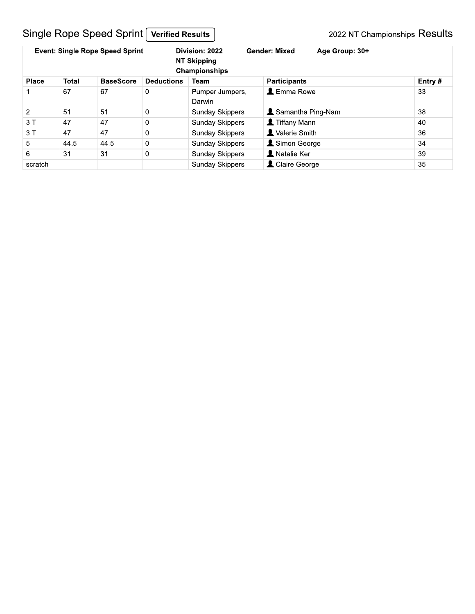# Single Rope Speed Sprint [Verified Results]

|              |              | <b>Event: Single Rope Speed Sprint</b> |                   | Division: 2022<br><b>Gender: Mixed</b><br><b>NT Skipping</b><br>Championships |                            | Age Group: 30+ |        |
|--------------|--------------|----------------------------------------|-------------------|-------------------------------------------------------------------------------|----------------------------|----------------|--------|
| <b>Place</b> | <b>Total</b> | <b>BaseScore</b>                       | <b>Deductions</b> | Team                                                                          | <b>Participants</b>        |                | Entry# |
|              | 67           | 67                                     | 0                 | Pumper Jumpers,<br>Darwin                                                     | $\blacktriangle$ Emma Rowe |                | 33     |
| 2            | 51           | 51                                     | 0                 | <b>Sunday Skippers</b>                                                        | <b>L</b> Samantha Ping-Nam |                | 38     |
| 3T           | 47           | 47                                     | 0                 | <b>Sunday Skippers</b>                                                        | <b>L</b> Tiffany Mann      |                | 40     |
| 3T           | 47           | 47                                     | 0                 | <b>Sunday Skippers</b>                                                        | Valerie Smith              |                | 36     |
| 5            | 44.5         | 44.5                                   | 0                 | <b>Sunday Skippers</b>                                                        | Simon George               |                | 34     |
| 6            | 31           | 31                                     | $\mathbf 0$       | <b>Sunday Skippers</b>                                                        | <b>A</b> Natalie Ker       |                | 39     |
| scratch      |              |                                        |                   | <b>Sunday Skippers</b>                                                        | L Claire George            |                | 35     |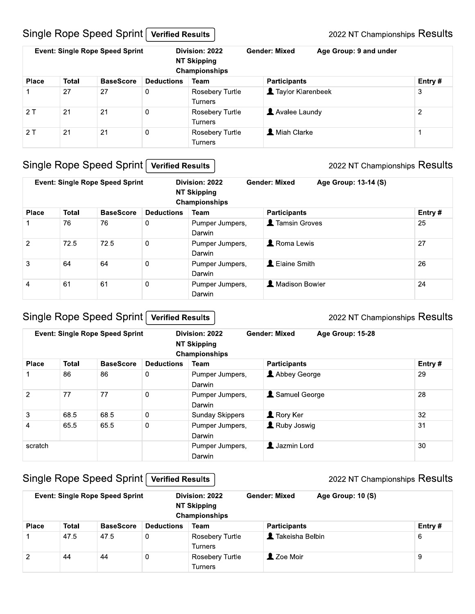### Single Rope Speed Sprint Verified Results

|              |              | <b>Event: Single Rope Speed Sprint</b> |                   | Division: 2022<br><b>NT Skipping</b><br>Championships | <b>Gender: Mixed</b> | Age Group: 9 and under |                |
|--------------|--------------|----------------------------------------|-------------------|-------------------------------------------------------|----------------------|------------------------|----------------|
| <b>Place</b> | <b>Total</b> | <b>BaseScore</b>                       | <b>Deductions</b> | <b>Team</b>                                           | <b>Participants</b>  |                        | Entry#         |
|              | 27           | 27                                     | 0                 | Rosebery Turtle<br><b>Turners</b>                     | Taylor Klarenbeek    |                        | 3              |
| 2T           | 21           | 21                                     | 0                 | Rosebery Turtle<br><b>Turners</b>                     | Avalee Laundy        |                        | $\overline{2}$ |
| 2T           | 21           | 21                                     | 0                 | Rosebery Turtle<br><b>Turners</b>                     | <b>X</b> Miah Clarke |                        |                |

### Single Rope Speed Sprint Verified Results

#### 2022 NT Championships Results

|                |              | <b>Event: Single Rope Speed Sprint</b> |                   | Division: 2022<br><b>Gender: Mixed</b><br><b>NT Skipping</b><br>Championships |                         | Age Group: 13-14 (S) |         |
|----------------|--------------|----------------------------------------|-------------------|-------------------------------------------------------------------------------|-------------------------|----------------------|---------|
| <b>Place</b>   | <b>Total</b> | <b>BaseScore</b>                       | <b>Deductions</b> | Team                                                                          | <b>Participants</b>     |                      | Entry # |
|                | 76           | 76                                     | 0                 | Pumper Jumpers,<br>Darwin                                                     | <b>1</b> Tamsin Groves  |                      | 25      |
| 2              | 72.5         | 72.5                                   | 0                 | Pumper Jumpers,<br>Darwin                                                     | <b>Roma Lewis</b>       |                      | 27      |
| 3              | 64           | 64                                     | $\mathbf 0$       | Pumper Jumpers,<br>Darwin                                                     | L Elaine Smith          |                      | 26      |
| $\overline{4}$ | 61           | 61                                     | $\mathbf 0$       | Pumper Jumpers,<br>Darwin                                                     | <b>1</b> Madison Bowler |                      | 24      |

#### Single Rope Speed Sprint Verified Results

#### 2022 NT Championships Results

|              |              | <b>Event: Single Rope Speed Sprint</b> |                   | Division: 2022<br><b>Gender: Mixed</b><br>Age Group: 15-28<br><b>NT Skipping</b><br>Championships |                     |        |
|--------------|--------------|----------------------------------------|-------------------|---------------------------------------------------------------------------------------------------|---------------------|--------|
| <b>Place</b> | <b>Total</b> | <b>BaseScore</b>                       | <b>Deductions</b> | Team                                                                                              | <b>Participants</b> | Entry# |
|              | 86           | 86                                     | 0                 | Pumper Jumpers,<br>Darwin                                                                         | Abbey George        | 29     |
| 2            | 77           | 77                                     | 0                 | Pumper Jumpers,<br>Darwin                                                                         | Samuel George       | 28     |
| 3            | 68.5         | 68.5                                   | $\mathbf 0$       | <b>Sunday Skippers</b>                                                                            | <b>A</b> Rory Ker   | 32     |
| 4            | 65.5         | 65.5                                   | $\mathbf 0$       | Pumper Jumpers,<br>Darwin                                                                         | Ruby Joswig         | 31     |
| scratch      |              |                                        |                   | Pumper Jumpers,<br>Darwin                                                                         | <b>Jazmin Lord</b>  | 30     |

### Single Rope Speed Sprint Verified Results

|               |              | <b>Event: Single Rope Speed Sprint</b> |                   | Division: 2022<br><b>NT Skipping</b><br>Championships | <b>Gender: Mixed</b> | Age Group: 10 (S) |        |
|---------------|--------------|----------------------------------------|-------------------|-------------------------------------------------------|----------------------|-------------------|--------|
| <b>Place</b>  | <b>Total</b> | <b>BaseScore</b>                       | <b>Deductions</b> | <b>Team</b>                                           | <b>Participants</b>  |                   | Entry# |
|               | 47.5         | 47.5                                   | 0                 | <b>Rosebery Turtle</b><br>Turners                     | L Takeisha Belbin    |                   | 6      |
| $\mathcal{P}$ | 44           | 44                                     | $\overline{0}$    | <b>Rosebery Turtle</b><br>Turners                     | 2 Zoe Moir           |                   | 9      |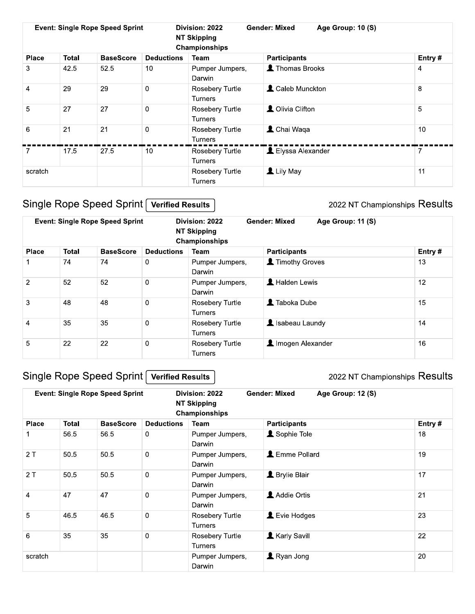|                |              | <b>Event: Single Rope Speed Sprint</b> |                   | <b>Gender: Mixed</b><br>Division: 2022<br>Age Group: 10 (S)<br><b>NT Skipping</b><br>Championships |                     |  |        |
|----------------|--------------|----------------------------------------|-------------------|----------------------------------------------------------------------------------------------------|---------------------|--|--------|
| <b>Place</b>   | <b>Total</b> | <b>BaseScore</b>                       | <b>Deductions</b> | Team                                                                                               | <b>Participants</b> |  | Entry# |
| 3              | 42.5         | 52.5                                   | 10                | Pumper Jumpers,<br>Darwin                                                                          | Thomas Brooks       |  | 4      |
| $\overline{4}$ | 29           | 29                                     | $\overline{0}$    | Rosebery Turtle<br>Turners                                                                         | L Caleb Munckton    |  | 8      |
| 5              | 27           | 27                                     | $\mathbf 0$       | Rosebery Turtle<br><b>Turners</b>                                                                  | L Olivia Clifton    |  | 5      |
| 6              | 21           | 21                                     | $\overline{0}$    | <b>Rosebery Turtle</b><br><b>Turners</b>                                                           | L Chai Waqa         |  | 10     |
| 7              | 17.5         | 27.5                                   | 10                | <b>Rosebery Turtle</b><br><b>Turners</b>                                                           | LElyssa Alexander   |  |        |
| scratch        |              |                                        |                   | Rosebery Turtle<br>Turners                                                                         | Lily May            |  | 11     |

# Single Rope Speed Sprint | Verified Results

2022 NT Championships Results

|                |              | <b>Event: Single Rope Speed Sprint</b> |                   | Division: 2022<br><b>Gender: Mixed</b><br>Age Group: 11 (S)<br><b>NT Skipping</b><br>Championships |                            |  |        |
|----------------|--------------|----------------------------------------|-------------------|----------------------------------------------------------------------------------------------------|----------------------------|--|--------|
| <b>Place</b>   | <b>Total</b> | <b>BaseScore</b>                       | <b>Deductions</b> | Team                                                                                               | <b>Participants</b>        |  | Entry# |
|                | 74           | 74                                     | 0                 | Pumper Jumpers,<br>Darwin                                                                          | Timothy Groves             |  | 13     |
| 2              | 52           | 52                                     | $\mathbf 0$       | Pumper Jumpers,<br>Darwin                                                                          | <b>A</b> Halden Lewis      |  | 12     |
| 3              | 48           | 48                                     | $\mathbf 0$       | <b>Rosebery Turtle</b><br><b>Turners</b>                                                           | $\blacksquare$ Taboka Dube |  | 15     |
| $\overline{4}$ | 35           | 35                                     | $\mathbf 0$       | Rosebery Turtle<br><b>Turners</b>                                                                  | Isabeau Laundy             |  | 14     |
| 5              | 22           | 22                                     | $\mathbf 0$       | <b>Rosebery Turtle</b><br><b>Turners</b>                                                           | Imogen Alexander           |  | 16     |

# Single Rope Speed Sprint Verified Results

|                |       | <b>Event: Single Rope Speed Sprint</b> |                   | <b>Gender: Mixed</b><br>Division: 2022<br><b>NT Skipping</b><br><b>Championships</b> | Age Group: 12 (S)            |  |        |
|----------------|-------|----------------------------------------|-------------------|--------------------------------------------------------------------------------------|------------------------------|--|--------|
| <b>Place</b>   | Total | <b>BaseScore</b>                       | <b>Deductions</b> | Team                                                                                 | <b>Participants</b>          |  | Entry# |
|                | 56.5  | 56.5                                   | $\mathbf 0$       | Pumper Jumpers,<br>Darwin                                                            | Sophie Tole                  |  | 18     |
| 2T             | 50.5  | 50.5                                   | $\mathbf 0$       | Pumper Jumpers,<br>Darwin                                                            | L Emme Pollard               |  | 19     |
| 2T             | 50.5  | 50.5                                   | $\mathbf 0$       | Pumper Jumpers,<br>Darwin                                                            | <b>1</b> Brylie Blair        |  | 17     |
| $\overline{4}$ | 47    | 47                                     | $\mathbf 0$       | Pumper Jumpers,<br>Darwin                                                            | Addie Ortis                  |  | 21     |
| 5              | 46.5  | 46.5                                   | $\Omega$          | <b>Rosebery Turtle</b><br><b>Turners</b>                                             | $\blacktriangle$ Evie Hodges |  | 23     |
| 6              | 35    | 35                                     | $\mathbf 0$       | Rosebery Turtle<br><b>Turners</b>                                                    | <b>Karly Savill</b>          |  | 22     |
| scratch        |       |                                        |                   | Pumper Jumpers,<br>Darwin                                                            | Ryan Jong                    |  | 20     |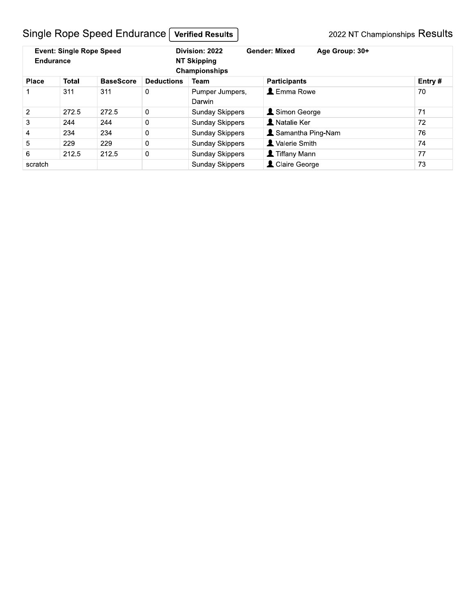# Single Rope Speed Endurance [Verified Results]

| <b>Event: Single Rope Speed</b><br><b>Endurance</b> |              |                  |                   | Division: 2022<br><b>NT Skipping</b><br>Championships | <b>Gender: Mixed</b><br>Age Group: 30+ |        |
|-----------------------------------------------------|--------------|------------------|-------------------|-------------------------------------------------------|----------------------------------------|--------|
| <b>Place</b>                                        | <b>Total</b> | <b>BaseScore</b> | <b>Deductions</b> | Team                                                  | <b>Participants</b>                    | Entry# |
|                                                     | 311          | 311              | 0                 | Pumper Jumpers.<br>Darwin                             | $\blacktriangle$ Emma Rowe             | 70     |
| 2                                                   | 272.5        | 272.5            | 0                 | <b>Sunday Skippers</b>                                | Simon George                           | 71     |
| 3                                                   | 244          | 244              | 0                 | <b>Sunday Skippers</b>                                | <b>R</b> Natalie Ker                   | 72     |
| 4                                                   | 234          | 234              | 0                 | <b>Sunday Skippers</b>                                | <b>L</b> Samantha Ping-Nam             | 76     |
| 5                                                   | 229          | 229              | 0                 | <b>Sunday Skippers</b>                                | Valerie Smith                          | 74     |
| 6                                                   | 212.5        | 212.5            | 0                 | <b>Sunday Skippers</b>                                | <b>1</b> Tiffany Mann                  | 77     |
| scratch                                             |              |                  |                   | <b>Sunday Skippers</b>                                | Claire George                          | 73     |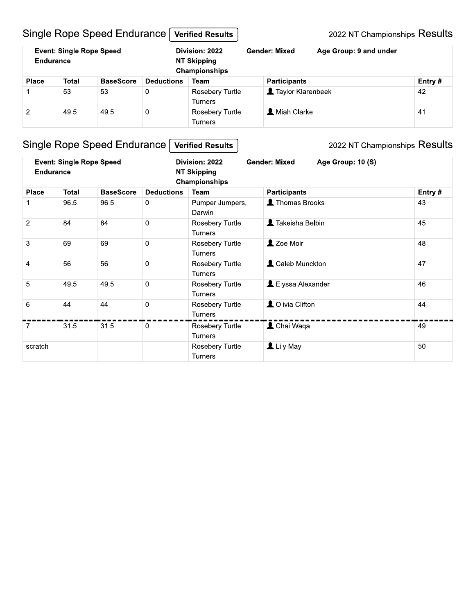# Single Rope Speed Endurance Verified Results

2022 NT Championships Results

| Endurance      | <b>Event: Single Rope Speed</b> |                  |                   | Division: 2022<br><b>NT Skipping</b><br>Championships | <b>Gender: Mixed</b><br>Age Group: 9 and under |  |        |
|----------------|---------------------------------|------------------|-------------------|-------------------------------------------------------|------------------------------------------------|--|--------|
| <b>Place</b>   | Total                           | <b>BaseScore</b> | <b>Deductions</b> | Team                                                  | <b>Participants</b>                            |  | Entry# |
|                | 53                              | 53               | $\overline{0}$    | Rosebery Turtle<br><b>Turners</b>                     | Taylor Klarenbeek                              |  | 42     |
| $\overline{2}$ | 49.5                            | 49.5             | 0                 | Rosebery Turtle<br><b>Turners</b>                     | <b>A</b> Miah Clarke                           |  | 41     |

# Single Rope Speed Endurance [Verified Results]

| <b>Event: Single Rope Speed</b><br><b>Endurance</b> |              |                  |                   | <b>Gender: Mixed</b><br>Division: 2022<br><b>NT Skipping</b><br>Championships | Age Group: 10 (S)       |        |
|-----------------------------------------------------|--------------|------------------|-------------------|-------------------------------------------------------------------------------|-------------------------|--------|
| <b>Place</b>                                        | <b>Total</b> | <b>BaseScore</b> | <b>Deductions</b> | Team                                                                          | <b>Participants</b>     | Entry# |
|                                                     | 96.5         | 96.5             | $\mathbf 0$       | Pumper Jumpers,<br>Darwin                                                     | Thomas Brooks           | 43     |
| $\overline{2}$                                      | 84           | 84               | $\Omega$          | Rosebery Turtle<br><b>Turners</b>                                             | Takeisha Belbin         | 45     |
| 3                                                   | 69           | 69               | $\mathbf 0$       | Rosebery Turtle<br><b>Turners</b>                                             | 2 Zoe Moir              | 48     |
| $\overline{4}$                                      | 56           | 56               | $\mathbf 0$       | Rosebery Turtle<br><b>Turners</b>                                             | <b>L</b> Caleb Munckton | 47     |
| 5                                                   | 49.5         | 49.5             | $\Omega$          | Rosebery Turtle<br><b>Turners</b>                                             | L Elyssa Alexander      | 46     |
| 6                                                   | 44           | 44               | $\Omega$          | Rosebery Turtle<br><b>Turners</b>                                             | <b>Q</b> Olivia Clifton | 44     |
| $\overline{7}$                                      | 31.5         | 31.5             | $\mathbf 0$       | Rosebery Turtle<br><b>Turners</b>                                             | L Chai Waqa             | 49     |
| scratch                                             |              |                  |                   | Rosebery Turtle<br>Turners                                                    | Lily May                | 50     |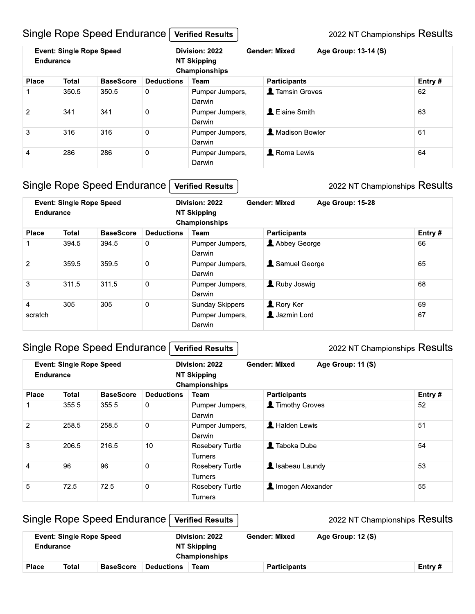#### Single Rope Speed Endurance Verified Results

2022 NT Championships Results

| <b>Event: Single Rope Speed</b><br><b>Endurance</b> |       |                  | Division: 2022<br><b>NT Skipping</b><br>Championships |                           | <b>Gender: Mixed</b>    | Age Group: 13-14 (S) |        |  |
|-----------------------------------------------------|-------|------------------|-------------------------------------------------------|---------------------------|-------------------------|----------------------|--------|--|
| <b>Place</b>                                        | Total | <b>BaseScore</b> | <b>Deductions</b>                                     | Team                      | <b>Participants</b>     |                      | Entry# |  |
|                                                     | 350.5 | 350.5            | 0                                                     | Pumper Jumpers,<br>Darwin | <b>1</b> Tamsin Groves  |                      | 62     |  |
| 2                                                   | 341   | 341              | 0                                                     | Pumper Jumpers.<br>Darwin | <b>L</b> Elaine Smith   |                      | 63     |  |
| 3                                                   | 316   | 316              | $\mathbf 0$                                           | Pumper Jumpers,<br>Darwin | <b>A</b> Madison Bowler |                      | 61     |  |
| 4                                                   | 286   | 286              | $\mathbf 0$                                           | Pumper Jumpers,<br>Darwin | <b>Roma Lewis</b>       |                      | 64     |  |

#### Single Rope Speed Endurance Verified Results

#### 2022 NT Championships Results

| <b>Event: Single Rope Speed</b><br>Endurance |              |                  | Division: 2022<br>NT Skipping<br>Championships |                           | <b>Gender: Mixed</b><br>Age Group: 15-28 |  |        |
|----------------------------------------------|--------------|------------------|------------------------------------------------|---------------------------|------------------------------------------|--|--------|
| <b>Place</b>                                 | <b>Total</b> | <b>BaseScore</b> | <b>Deductions</b>                              | <b>Team</b>               | <b>Participants</b>                      |  | Entry# |
|                                              | 394.5        | 394.5            | 0                                              | Pumper Jumpers,<br>Darwin | Abbey George                             |  | 66     |
| 2                                            | 359.5        | 359.5            | $\mathbf 0$                                    | Pumper Jumpers,<br>Darwin | Samuel George                            |  | 65     |
| 3                                            | 311.5        | 311.5            | $\mathbf 0$                                    | Pumper Jumpers,<br>Darwin | Ruby Joswig                              |  | 68     |
| 4                                            | 305          | 305              | $\mathbf 0$                                    | <b>Sunday Skippers</b>    | <b>A</b> Rory Ker                        |  | 69     |
| scratch                                      |              |                  |                                                | Pumper Jumpers,<br>Darwin | <b>1</b> Jazmin Lord                     |  | 67     |

#### Single Rope Speed Endurance Verified Results

#### 2022 NT Championships Results

| <b>Event: Single Rope Speed</b><br>Endurance |              |                  |                   | Division: 2022<br><b>NT Skipping</b><br>Championships | <b>Gender: Mixed</b><br>Age Group: 11 (S) |        |  |
|----------------------------------------------|--------------|------------------|-------------------|-------------------------------------------------------|-------------------------------------------|--------|--|
| <b>Place</b>                                 | <b>Total</b> | <b>BaseScore</b> | <b>Deductions</b> | Team                                                  | <b>Participants</b>                       | Entry# |  |
|                                              | 355.5        | 355.5            | 0                 | Pumper Jumpers,<br>Darwin                             | Timothy Groves                            | 52     |  |
| 2                                            | 258.5        | 258.5            | $\mathbf 0$       | Pumper Jumpers,<br>Darwin                             | <b>A</b> Halden Lewis                     | 51     |  |
| 3                                            | 206.5        | 216.5            | 10                | <b>Rosebery Turtle</b><br><b>Turners</b>              | $\blacksquare$ Taboka Dube                | 54     |  |
| 4                                            | 96           | 96               | $\mathbf 0$       | <b>Rosebery Turtle</b><br><b>Turners</b>              | Sabeau Laundy                             | 53     |  |
| 5                                            | 72.5         | 72.5             | $\overline{0}$    | Rosebery Turtle<br><b>Turners</b>                     | Imogen Alexander                          | 55     |  |

#### Single Rope Speed Endurance 2022 NT Championships Results **Verified Results Event: Single Rope Speed** Division: 2022 **Gender: Mixed** Age Group: 12 (S) **Endurance NT Skipping** Championships **Place Total BaseScore Deductions Team Participants** Entry#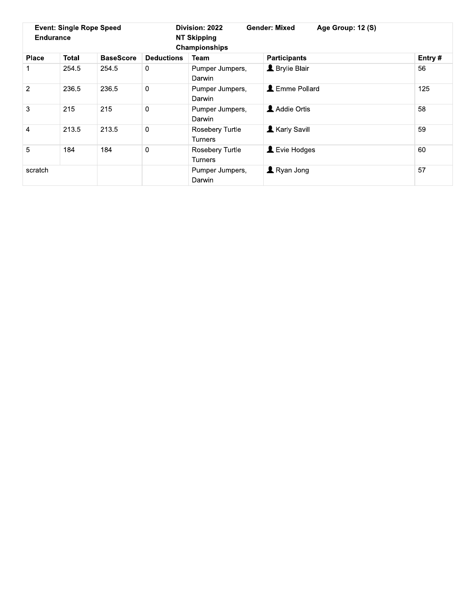| <b>Event: Single Rope Speed</b><br><b>Endurance</b> |              |                  | Division: 2022<br><b>NT Skipping</b><br>Championships |                                   | <b>Gender: Mixed</b><br>Age Group: 12 (S) |  |        |
|-----------------------------------------------------|--------------|------------------|-------------------------------------------------------|-----------------------------------|-------------------------------------------|--|--------|
| <b>Place</b>                                        | <b>Total</b> | <b>BaseScore</b> | <b>Deductions</b>                                     | Team                              | <b>Participants</b>                       |  | Entry# |
| 1                                                   | 254.5        | 254.5            | 0                                                     | Pumper Jumpers,<br>Darwin         | <b>L</b> Brylie Blair                     |  | 56     |
| 2                                                   | 236.5        | 236.5            | 0                                                     | Pumper Jumpers,<br>Darwin         | L Emme Pollard                            |  | 125    |
| 3                                                   | 215          | 215              | 0                                                     | Pumper Jumpers,<br>Darwin         | Addie Ortis                               |  | 58     |
| 4                                                   | 213.5        | 213.5            | 0                                                     | <b>Rosebery Turtle</b><br>Turners | <b>Karly Savill</b>                       |  | 59     |
| 5                                                   | 184          | 184              | 0                                                     | <b>Rosebery Turtle</b><br>Turners | Levie Hodges                              |  | 60     |
| scratch                                             |              |                  |                                                       | Pumper Jumpers,<br>Darwin         | $\blacksquare$ Ryan Jong                  |  | 57     |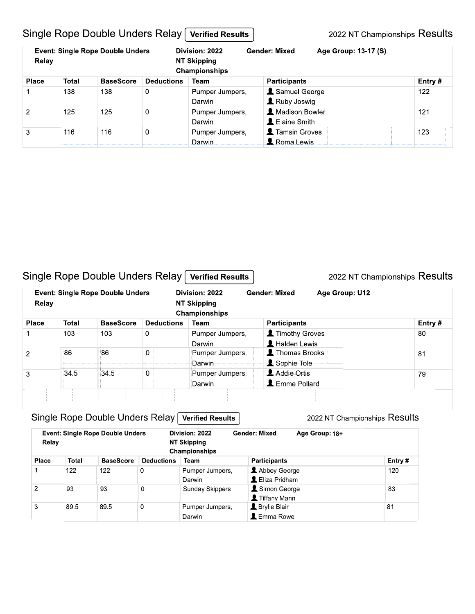### Single Rope Double Unders Relay Verified Results

2022 NT Championships Results

| Relay        |       | <b>Event: Single Rope Double Unders</b> |                   | Division: 2022<br><b>Gender: Mixed</b><br>NT Skipping<br>Championships |                                                     | Age Group: 13-17 (S) |        |
|--------------|-------|-----------------------------------------|-------------------|------------------------------------------------------------------------|-----------------------------------------------------|----------------------|--------|
| <b>Place</b> | Total | <b>BaseScore</b>                        | <b>Deductions</b> | Team                                                                   | <b>Participants</b>                                 |                      | Entry# |
|              | 138   | 138                                     | 0                 | Pumper Jumpers,<br>Darwin                                              | Samuel George<br>Ruby Joswig                        |                      | 122    |
| 2            | 125   | 125                                     | $\Omega$          | Pumper Jumpers,<br>Darwin                                              | <b>A</b> Madison Bowler<br><b>L</b> Elaine Smith    |                      | 121    |
| 3            | 116   | 116                                     | 0                 | Pumper Jumpers.<br>Darwin                                              | <b>1</b> Tamsin Groves<br>$\blacksquare$ Roma Lewis |                      | 123    |

#### Single Rope Double Unders Relay Verified Results

2022 NT Championships Results

| Relay         |       | <b>Event: Single Rope Double Unders</b> |                   | Division: 2022<br>NT Skipping<br>Championships | <b>Gender: Mixed</b>                          | Age Group: U12 |        |
|---------------|-------|-----------------------------------------|-------------------|------------------------------------------------|-----------------------------------------------|----------------|--------|
| <b>Place</b>  | Total | <b>BaseScore</b>                        | <b>Deductions</b> | Team                                           | <b>Participants</b>                           |                | Entry# |
|               | 103   | 103                                     | 0                 | Pumper Jumpers,<br>Darwin                      | Timothy Groves<br>$\blacksquare$ Halden Lewis |                | 80     |
| $\mathcal{P}$ | 86    | 86                                      | 0                 | Pumper Jumpers,<br>Darwin                      | Thomas Brooks<br>Sophie Tole                  |                | 81     |
| 3             | 34.5  | 34.5                                    | 0                 | Pumper Jumpers,<br>Darwin                      | Addie Ortis<br><b>L</b> Emme Pollard          |                | 79     |
|               |       |                                         |                   |                                                |                                               |                |        |

# Single Rope Double Unders Relay Verified Results

| Relay        |       | <b>Event: Single Rope Double Unders</b> |                   | Division: 2022<br>NT Skipping<br>Championships | <b>Gender: Mixed</b>  | Age Group: 18+ |         |
|--------------|-------|-----------------------------------------|-------------------|------------------------------------------------|-----------------------|----------------|---------|
| <b>Place</b> | Total | <b>BaseScore</b>                        | <b>Deductions</b> | Team                                           | Participants          |                | Entry # |
|              | 122   | 122                                     | 0                 | Pumper Jumpers,                                | Abbey George          |                | 120     |
|              |       |                                         |                   | Darwin                                         | L Eliza Pridham       |                |         |
| 2            | 93    | 93                                      | 0                 | Sunday Skippers                                | Simon George          |                | 83      |
|              |       |                                         |                   |                                                | Tiffany Mann          |                |         |
| 3            | 89.5  | 89.5                                    | 0                 | Pumper Jumpers,                                | <b>L</b> Brylie Blair |                | 81      |
|              |       |                                         |                   | Darwin                                         | L Emma Rowe           |                |         |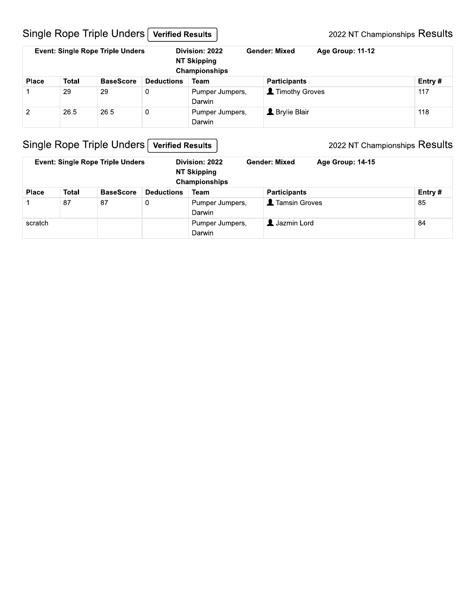# Single Rope Triple Unders [Verified Results]

| <b>Event: Single Rope Triple Unders</b> |       |                  |                   | Division: 2022<br><b>Gender: Mixed</b><br><b>Age Group: 11-12</b><br><b>NT Skipping</b><br>Championships |                       |  |        |
|-----------------------------------------|-------|------------------|-------------------|----------------------------------------------------------------------------------------------------------|-----------------------|--|--------|
| <b>Place</b>                            | Total | <b>BaseScore</b> | <b>Deductions</b> | <b>Team</b>                                                                                              | <b>Participants</b>   |  | Entry# |
|                                         | 29    | 29               | $\mathbf 0$       | Pumper Jumpers,<br>Darwin                                                                                | Timothy Groves        |  | 117    |
| 2                                       | 26.5  | 26.5             | $\mathbf 0$       | Pumper Jumpers,<br>Darwin                                                                                | <b>L</b> Brylie Blair |  | 118    |

# Single Rope Triple Unders Verified Results

| <b>Event: Single Rope Triple Unders</b> |       |                  |                   | <b>Gender: Mixed</b><br>Division: 2022<br><b>NT Skipping</b><br>Championships |                        | <b>Age Group: 14-15</b> |        |
|-----------------------------------------|-------|------------------|-------------------|-------------------------------------------------------------------------------|------------------------|-------------------------|--------|
| <b>Place</b>                            | Total | <b>BaseScore</b> | <b>Deductions</b> | Team                                                                          | <b>Participants</b>    |                         | Entry# |
|                                         | 87    | 87               | 0                 | Pumper Jumpers,<br>Darwin                                                     | <b>1</b> Tamsin Groves |                         | 85     |
| scratch                                 |       |                  |                   | Pumper Jumpers,<br>Darwin                                                     | <b>L</b> Jazmin Lord   |                         | 84     |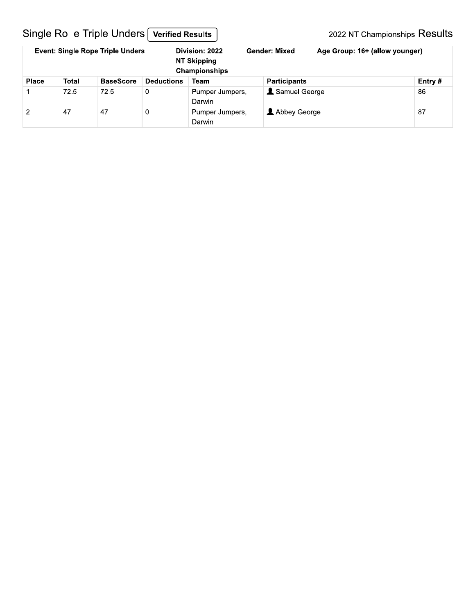# Single Ro e Triple Unders [Verified Results]

| <b>Event: Single Rope Triple Unders</b> |       |                  |                   | Division: 2022<br><b>NT Skipping</b><br>Championships | <b>Gender: Mixed</b> | Age Group: 16+ (allow younger) |         |  |
|-----------------------------------------|-------|------------------|-------------------|-------------------------------------------------------|----------------------|--------------------------------|---------|--|
| <b>Place</b>                            | Total | <b>BaseScore</b> | <b>Deductions</b> | Team                                                  | <b>Participants</b>  |                                | Entry # |  |
|                                         | 72.5  | 72.5             | 0                 | Pumper Jumpers,<br>Darwin                             | Samuel George        |                                | 86      |  |
| 2                                       | 47    | 47               | 0                 | Pumper Jumpers,<br>Darwin                             | Abbey George         |                                | 87      |  |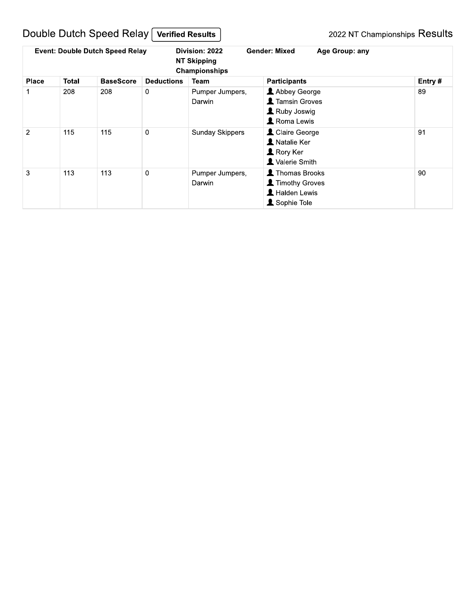# Double Dutch Speed Relay Verified Results

|                |       | <b>Event: Double Dutch Speed Relay</b> |                   | Division: 2022<br><b>NT Skipping</b><br>Championships | <b>Gender: Mixed</b><br>Age Group: any                                                         |        |
|----------------|-------|----------------------------------------|-------------------|-------------------------------------------------------|------------------------------------------------------------------------------------------------|--------|
| <b>Place</b>   | Total | <b>BaseScore</b>                       | <b>Deductions</b> | Team                                                  | <b>Participants</b>                                                                            | Entry# |
|                | 208   | 208                                    | 0                 | Pumper Jumpers,<br>Darwin                             | Abbey George<br><b>1</b> Tamsin Groves<br>Ruby Joswig<br>Roma Lewis                            | 89     |
| $\overline{2}$ | 115   | 115                                    | $\mathbf 0$       | <b>Sunday Skippers</b>                                | L Claire George<br><b>A</b> Natalie Ker<br>$\blacktriangle$ Rory Ker<br><b>1</b> Valerie Smith | 91     |
| 3              | 113   | 113                                    | $\mathbf 0$       | Pumper Jumpers,<br>Darwin                             | <b>1</b> Thomas Brooks<br><b>1</b> Timothy Groves<br>L Halden Lewis<br>Sophie Tole             | 90     |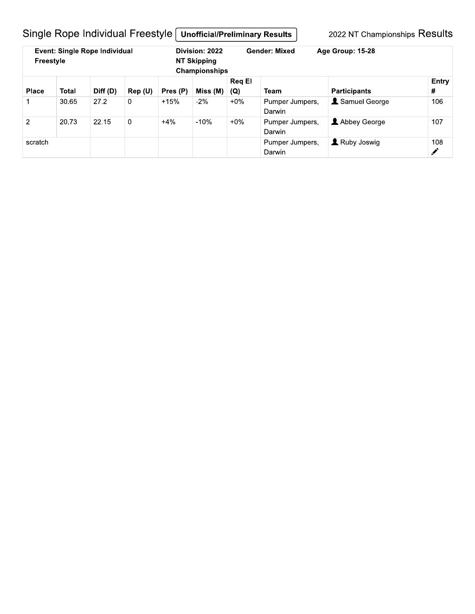Single Rope Individual Freestyle | Unofficial/Preliminary Results |

| <b>Event: Single Rope Individual</b><br>Freestyle |       |          |             | Division: 2022<br>NT Skipping<br>Championships |                           | <b>Gender: Mixed</b><br>Age Group: 15-28 |                           |                     |            |
|---------------------------------------------------|-------|----------|-------------|------------------------------------------------|---------------------------|------------------------------------------|---------------------------|---------------------|------------|
| <b>Place</b>                                      | Total | Diff (D) | Rep (U)     | Pres (P)                                       | Miss (M)                  | <b>Reg El</b><br>(Q)                     | <b>Team</b>               | <b>Participants</b> | Entry<br># |
|                                                   | 30.65 | 27.2     | 0           | $+15%$                                         | $-2%$                     | $+0\%$                                   | Pumper Jumpers,<br>Darwin | Samuel George       | 106        |
| 2                                                 | 20.73 | 22.15    | $\mathbf 0$ | $+4%$                                          | $-10%$                    | $+0\%$                                   | Pumper Jumpers.<br>Darwin | Abbey George        | 107        |
| scratch                                           |       |          |             |                                                | Pumper Jumpers.<br>Darwin | Ruby Joswig                              | 108<br>$\mathcal{L}$      |                     |            |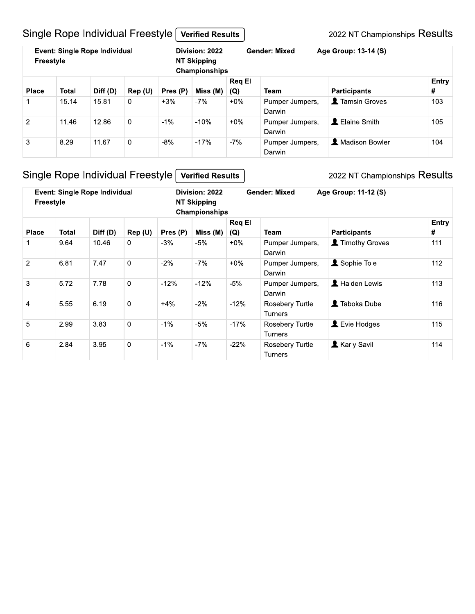# Single Rope Individual Freestyle Verified Results

2022 NT Championships Results

| Event: Single Rope Individual<br>Freestyle |              |          |         | Division: 2022<br><b>NT Skipping</b><br><b>Championships</b> |          |                      | <b>Gender: Mixed</b>      | Age Group: 13-14 (S)    |            |
|--------------------------------------------|--------------|----------|---------|--------------------------------------------------------------|----------|----------------------|---------------------------|-------------------------|------------|
| <b>Place</b>                               | <b>Total</b> | Diff (D) | Rep (U) | Pres (P)                                                     | Miss (M) | <b>Reg El</b><br>(Q) | Team                      | <b>Participants</b>     | Entry<br># |
|                                            | 15.14        | 15.81    | 0       | $+3%$                                                        | $-7%$    | $+0\%$               | Pumper Jumpers,<br>Darwin | <b>1</b> Tamsin Groves  | 103        |
| $\overline{2}$                             | 11.46        | 12.86    | 0       | $-1\%$                                                       | $-10%$   | $+0\%$               | Pumper Jumpers,<br>Darwin | L Elaine Smith          | 105        |
| 3                                          | 8.29         | 11.67    | 0       | $-8%$                                                        | $-17%$   | $-7%$                | Pumper Jumpers,<br>Darwin | <b>A</b> Madison Bowler | 104        |

# Single Rope Individual Freestyle Verified Results

| <b>Event: Single Rope Individual</b><br><b>Freestyle</b> |       |          |                |          | Division: 2022<br><b>NT Skipping</b><br>Championships | <b>Gender: Mixed</b><br>Age Group: 11-12 (S) |                                   |                              |            |
|----------------------------------------------------------|-------|----------|----------------|----------|-------------------------------------------------------|----------------------------------------------|-----------------------------------|------------------------------|------------|
| <b>Place</b>                                             | Total | Diff (D) | Rep (U)        | Pres (P) | Miss (M)                                              | <b>Req El</b><br>(Q)                         | Team                              | <b>Participants</b>          | Entry<br># |
|                                                          | 9.64  | 10.46    | $\overline{0}$ | $-3%$    | -5%                                                   | $+0\%$                                       | Pumper Jumpers,<br>Darwin         | Timothy Groves               | 111        |
| 2                                                        | 6.81  | 7.47     | $\overline{0}$ | $-2%$    | $-7%$                                                 | $+0\%$                                       | Pumper Jumpers,<br>Darwin         | Sophie Tole                  | 112        |
| 3                                                        | 5.72  | 7.78     | $\mathbf 0$    | $-12%$   | $-12%$                                                | $-5%$                                        | Pumper Jumpers,<br>Darwin         | Halden Lewis                 | 113        |
| $\overline{4}$                                           | 5.55  | 6.19     | $\mathbf 0$    | $+4%$    | $-2%$                                                 | $-12%$                                       | Rosebery Turtle<br><b>Turners</b> | <b>1</b> Taboka Dube         | 116        |
| 5                                                        | 2.99  | 3.83     | $\overline{0}$ | $-1\%$   | $-5%$                                                 | $-17%$                                       | Rosebery Turtle<br><b>Turners</b> | $\blacktriangle$ Evie Hodges | 115        |
| 6                                                        | 2.84  | 3.95     | $\overline{0}$ | $-1\%$   | -7%                                                   | $-22%$                                       | Rosebery Turtle<br><b>Turners</b> | Karly Savill                 | 114        |